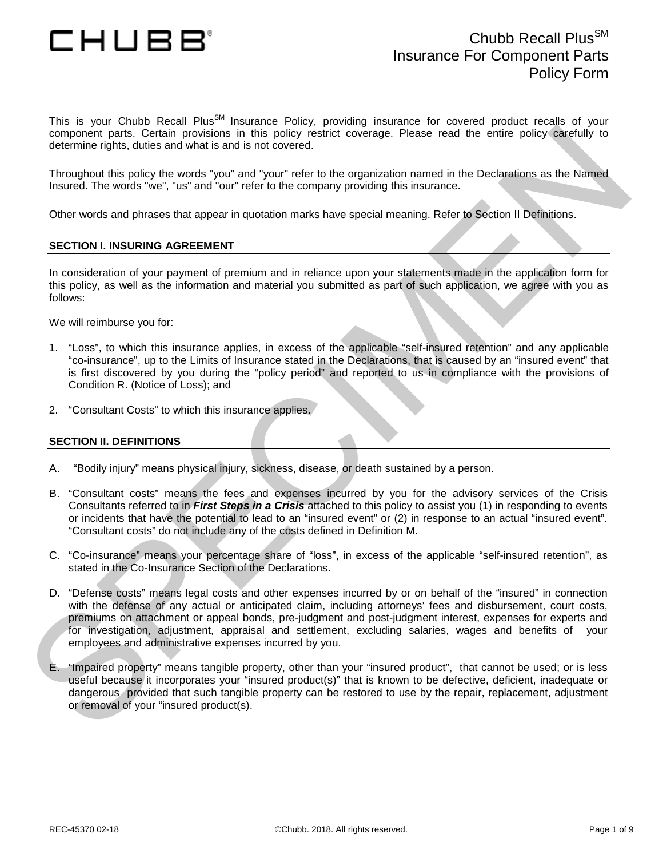

This is your Chubb Recall Plus<sup>SM</sup> Insurance Policy, providing insurance for covered product recalls of your component parts. Certain provisions in this policy restrict coverage. Please read the entire policy carefully to determine rights, duties and what is and is not covered.

Throughout this policy the words "you" and "your" refer to the organization named in the Declarations as the Named Insured. The words "we", "us" and "our" refer to the company providing this insurance.

Other words and phrases that appear in quotation marks have special meaning. Refer to Section II Definitions.

#### **SECTION I. INSURING AGREEMENT**

In consideration of your payment of premium and in reliance upon your statements made in the application form for this policy, as well as the information and material you submitted as part of such application, we agree with you as follows:

We will reimburse you for:

- 1. "Loss", to which this insurance applies, in excess of the applicable "self-insured retention" and any applicable "co-insurance", up to the Limits of Insurance stated in the Declarations, that is caused by an "insured event" that is first discovered by you during the "policy period" and reported to us in compliance with the provisions of Condition R. (Notice of Loss); and
- 2. "Consultant Costs" to which this insurance applies.

#### **SECTION II. DEFINITIONS**

- A. "Bodily injury" means physical injury, sickness, disease, or death sustained by a person.
- B. "Consultant costs" means the fees and expenses incurred by you for the advisory services of the Crisis Consultants referred to in *First Steps in a Crisis* attached to this policy to assist you (1) in responding to events or incidents that have the potential to lead to an "insured event" or (2) in response to an actual "insured event". "Consultant costs" do not include any of the costs defined in Definition M.
- C. "Co-insurance" means your percentage share of "loss", in excess of the applicable "self-insured retention", as stated in the Co-Insurance Section of the Declarations.
- component parts. Central provideors in this policy reside coverage. Piease read the uniter policy carry and the property of the policy state of the property and the systems of the property and the system of the system of t D. "Defense costs" means legal costs and other expenses incurred by or on behalf of the "insured" in connection with the defense of any actual or anticipated claim, including attorneys' fees and disbursement, court costs, premiums on attachment or appeal bonds, pre-judgment and post-judgment interest, expenses for experts and for investigation, adjustment, appraisal and settlement, excluding salaries, wages and benefits of your employees and administrative expenses incurred by you.
	- E. "Impaired property" means tangible property, other than your "insured product", that cannot be used; or is less useful because it incorporates your "insured product(s)" that is known to be defective, deficient, inadequate or dangerous provided that such tangible property can be restored to use by the repair, replacement, adjustment or removal of your "insured product(s).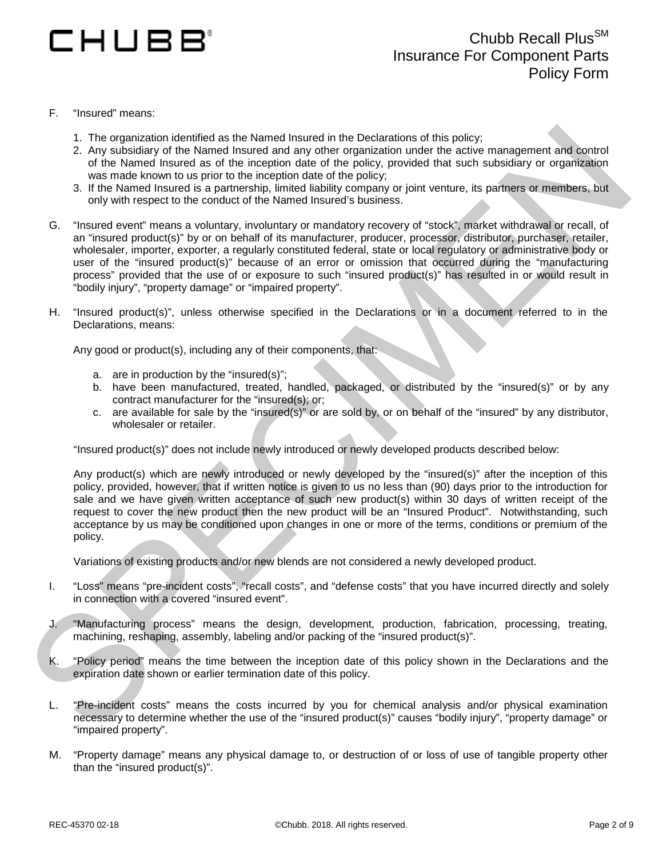# CHUBB'

- F. "Insured" means:
	- 1. The organization identified as the Named Insured in the Declarations of this policy;
	- 2. Any subsidiary of the Named Insured and any other organization under the active management and control of the Named Insured as of the inception date of the policy, provided that such subsidiary or organization was made known to us prior to the inception date of the policy;
	- 3. If the Named Insured is a partnership, limited liability company or joint venture, its partners or members, but only with respect to the conduct of the Named Insured's business.
- 1. The operation is determined to the hourest in the Declarations of this policy.<br>
2. Any subsidiary of the Named Insured and any other oppicantion outdet the active management and portrait<br>
of the Named Insured as of the G. "Insured event" means a voluntary, involuntary or mandatory recovery of "stock", market withdrawal or recall, of an "insured product(s)" by or on behalf of its manufacturer, producer, processor, distributor, purchaser, retailer, wholesaler, importer, exporter, a regularly constituted federal, state or local regulatory or administrative body or user of the "insured product(s)" because of an error or omission that occurred during the "manufacturing process" provided that the use of or exposure to such "insured product(s)" has resulted in or would result in "bodily injury", "property damage" or "impaired property".
	- H. "Insured product(s)", unless otherwise specified in the Declarations or in a document referred to in the Declarations, means:

Any good or product(s), including any of their components, that:

- a. are in production by the "insured(s)";
- b. have been manufactured, treated, handled, packaged, or distributed by the "insured(s)" or by any contract manufacturer for the "insured(s); or;
- c. are available for sale by the "insured(s)" or are sold by, or on behalf of the "insured" by any distributor, wholesaler or retailer.

"Insured product(s)" does not include newly introduced or newly developed products described below:

Any product(s) which are newly introduced or newly developed by the "insured(s)" after the inception of this policy, provided, however, that if written notice is given to us no less than (90) days prior to the introduction for sale and we have given written acceptance of such new product(s) within 30 days of written receipt of the request to cover the new product then the new product will be an "Insured Product". Notwithstanding, such acceptance by us may be conditioned upon changes in one or more of the terms, conditions or premium of the policy.

Variations of existing products and/or new blends are not considered a newly developed product.

- I. "Loss" means "pre-incident costs", "recall costs", and "defense costs" that you have incurred directly and solely in connection with a covered "insured event".
- J. "Manufacturing process" means the design, development, production, fabrication, processing, treating, machining, reshaping, assembly, labeling and/or packing of the "insured product(s)".
- K. "Policy period" means the time between the inception date of this policy shown in the Declarations and the expiration date shown or earlier termination date of this policy.
- L. "Pre-incident costs" means the costs incurred by you for chemical analysis and/or physical examination necessary to determine whether the use of the "insured product(s)" causes "bodily injury", "property damage" or "impaired property".
- M. "Property damage" means any physical damage to, or destruction of or loss of use of tangible property other than the "insured product(s)".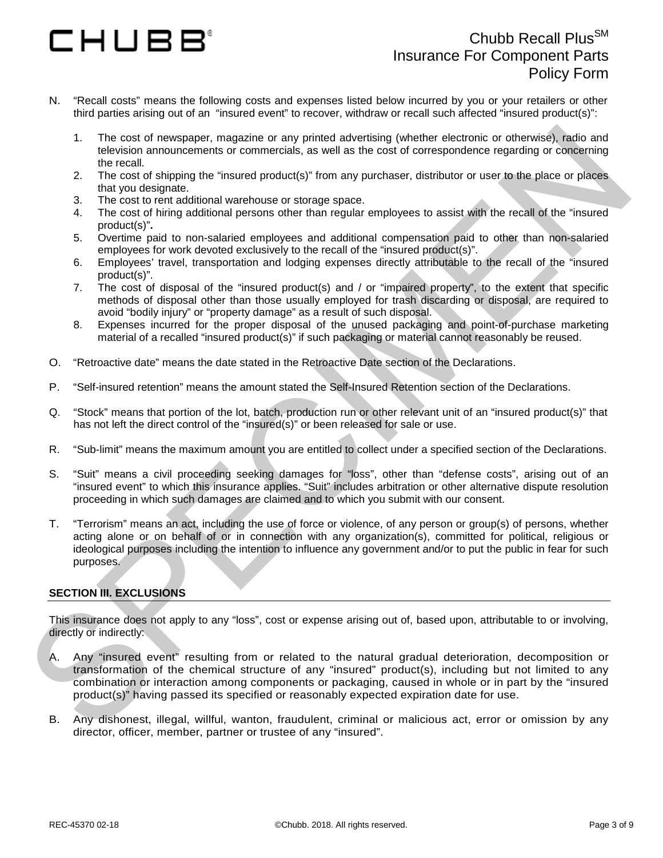# CHUBB'

- N. "Recall costs" means the following costs and expenses listed below incurred by you or your retailers or other third parties arising out of an "insured event" to recover, withdraw or recall such affected "insured product(s)":
	- 1. The cost of newspaper, magazine or any printed advertising (whether electronic or otherwise), radio and television announcements or commercials, as well as the cost of correspondence regarding or concerning the recall.
	- 2. The cost of shipping the "insured product(s)" from any purchaser, distributor or user to the place or places that you designate.
	- 3. The cost to rent additional warehouse or storage space.
	- 4. The cost of hiring additional persons other than regular employees to assist with the recall of the "insured product(s)"**.**
	- 5. Overtime paid to non-salaried employees and additional compensation paid to other than non-salaried employees for work devoted exclusively to the recall of the "insured product(s)".
	- 6. Employees' travel, transportation and lodging expenses directly attributable to the recall of the "insured product(s)".
	- 7. The cost of disposal of the "insured product(s) and / or "impaired property", to the extent that specific methods of disposal other than those usually employed for trash discarding or disposal, are required to avoid "bodily injury" or "property damage" as a result of such disposal.
	- 8. Expenses incurred for the proper disposal of the unused packaging and point-of-purchase marketing material of a recalled "insured product(s)" if such packaging or material cannot reasonably be reused.
- O. "Retroactive date" means the date stated in the Retroactive Date section of the Declarations.
- P. "Self-insured retention" means the amount stated the Self-Insured Retention section of the Declarations.
- Q. "Stock" means that portion of the lot, batch, production run or other relevant unit of an "insured product(s)" that has not left the direct control of the "insured(s)" or been released for sale or use.
- R. "Sub-limit" means the maximum amount you are entitled to collect under a specified section of the Declarations.
- S. "Suit" means a civil proceeding seeking damages for "loss", other than "defense costs", arising out of an "insured event" to which this insurance applies. "Suit" includes arbitration or other alternative dispute resolution proceeding in which such damages are claimed and to which you submit with our consent.
- T. "Terrorism" means an act, including the use of force or violence, of any person or group(s) of persons, whether acting alone or on behalf of or in connection with any organization(s), committed for political, religious or ideological purposes including the intention to influence any government and/or to put the public in fear for such purposes.

#### **SECTION III. EXCLUSIONS**

This insurance does not apply to any "loss", cost or expense arising out of, based upon, attributable to or involving, directly or indirectly:

- 1. The cast of newspape, magnina and magnina advantating (whether decision) compared the mean of other of the prior of the prior of the prior of the prior of the prior of the prior of the prior of the prior of the prior of A. Any "insured event" resulting from or related to the natural gradual deterioration, decomposition or transformation of the chemical structure of any "insured" product(s), including but not limited to any combination or interaction among components or packaging, caused in whole or in part by the "insured product(s)" having passed its specified or reasonably expected expiration date for use.
	- B. Any dishonest, illegal, willful, wanton, fraudulent, criminal or malicious act, error or omission by any director, officer, member, partner or trustee of any "insured".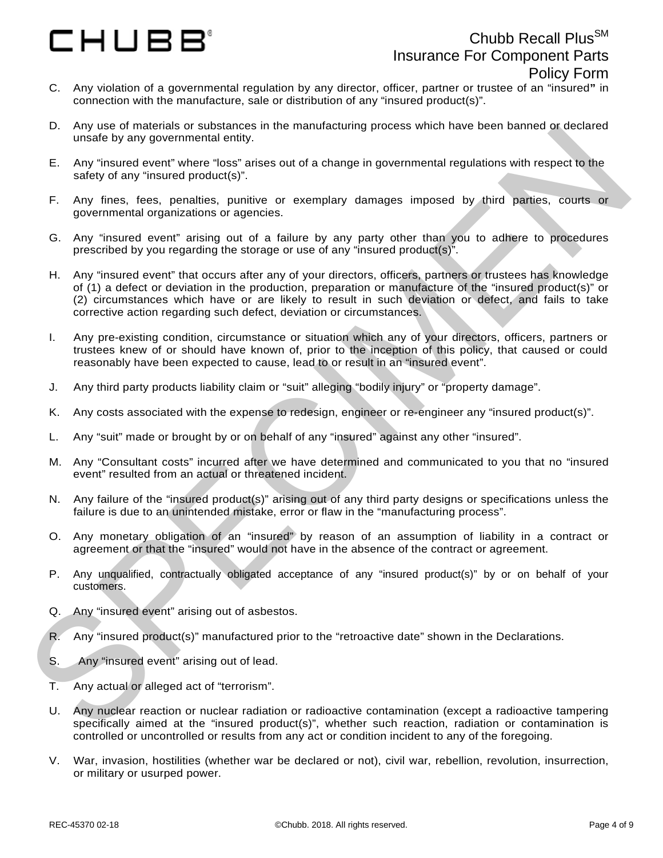# CHUBB°

- C. Any violation of a governmental regulation by any director, officer, partner or trustee of an "insured**"** in connection with the manufacture, sale or distribution of any "insured product(s)".
- D. Any use of materials or substances in the manufacturing process which have been banned or declared unsafe by any governmental entity.
- E. Any "insured event" where "loss" arises out of a change in governmental regulations with respect to the safety of any "insured product(s)".
- F. Any fines, fees, penalties, punitive or exemplary damages imposed by third parties, courts or governmental organizations or agencies.
- G. Any "insured event" arising out of a failure by any party other than you to adhere to procedures prescribed by you regarding the storage or use of any "insured product(s)".
- or will present interesting conditions.<br>
The materials of substantial or the material or the material or the term of the state of the state of the state of the state of the state of the state of the state of the state of H. Any "insured event" that occurs after any of your directors, officers, partners or trustees has knowledge of (1) a defect or deviation in the production, preparation or manufacture of the "insured product(s)" or (2) circumstances which have or are likely to result in such deviation or defect, and fails to take corrective action regarding such defect, deviation or circumstances.
	- I. Any pre-existing condition, circumstance or situation which any of your directors, officers, partners or trustees knew of or should have known of, prior to the inception of this policy, that caused or could reasonably have been expected to cause, lead to or result in an "insured event".
	- J. Any third party products liability claim or "suit" alleging "bodily injury" or "property damage".
	- K. Any costs associated with the expense to redesign, engineer or re-engineer any "insured product(s)".
	- L. Any "suit" made or brought by or on behalf of any "insured" against any other "insured".
	- M. Any "Consultant costs" incurred after we have determined and communicated to you that no "insured event" resulted from an actual or threatened incident.
	- N. Any failure of the "insured product(s)" arising out of any third party designs or specifications unless the failure is due to an unintended mistake, error or flaw in the "manufacturing process".
	- O. Any monetary obligation of an "insured" by reason of an assumption of liability in a contract or agreement or that the "insured" would not have in the absence of the contract or agreement.
	- P. Any unqualified, contractually obligated acceptance of any "insured product(s)" by or on behalf of your customers.
	- Q. Any "insured event" arising out of asbestos.
	- R. Any "insured product(s)" manufactured prior to the "retroactive date" shown in the Declarations.
	- S. Any "insured event" arising out of lead.
	- T. Any actual or alleged act of "terrorism".
	- U. Any nuclear reaction or nuclear radiation or radioactive contamination (except a radioactive tampering specifically aimed at the "insured product(s)", whether such reaction, radiation or contamination is controlled or uncontrolled or results from any act or condition incident to any of the foregoing.
	- V. War, invasion, hostilities (whether war be declared or not), civil war, rebellion, revolution, insurrection, or military or usurped power.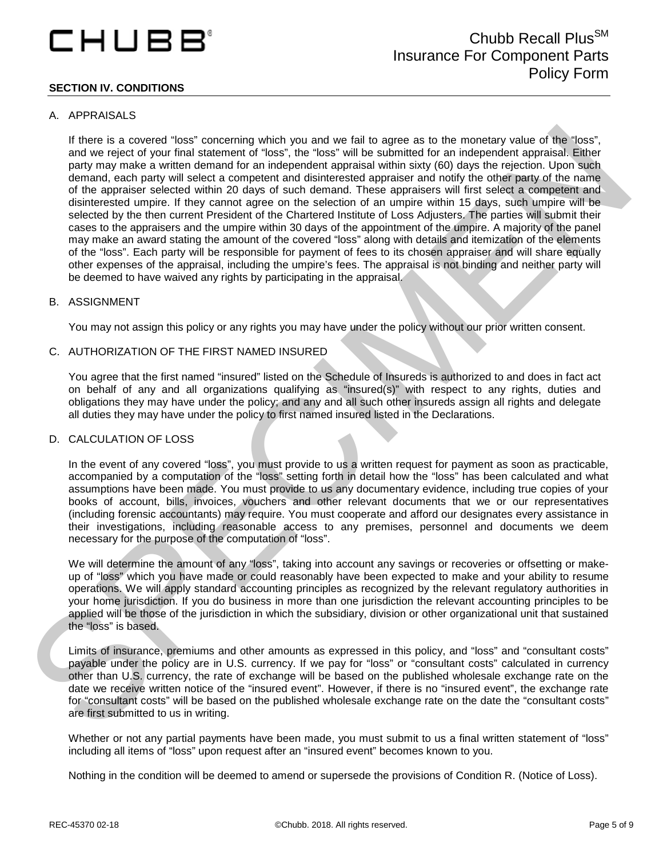## CHUBB

#### **SECTION IV. CONDITIONS**

#### A. APPRAISALS

If there is a convert That we make many and the function and the function in the function of the consideration of the matter of the system and the matter of the consideration of the matter of the matter of the consideratio If there is a covered "loss" concerning which you and we fail to agree as to the monetary value of the "loss", and we reject of your final statement of "loss", the "loss" will be submitted for an independent appraisal. Either party may make a written demand for an independent appraisal within sixty (60) days the rejection. Upon such demand, each party will select a competent and disinterested appraiser and notify the other party of the name of the appraiser selected within 20 days of such demand. These appraisers will first select a competent and disinterested umpire. If they cannot agree on the selection of an umpire within 15 days, such umpire will be selected by the then current President of the Chartered Institute of Loss Adjusters. The parties will submit their cases to the appraisers and the umpire within 30 days of the appointment of the umpire. A majority of the panel may make an award stating the amount of the covered "loss" along with details and itemization of the elements of the "loss". Each party will be responsible for payment of fees to its chosen appraiser and will share equally other expenses of the appraisal, including the umpire's fees. The appraisal is not binding and neither party will be deemed to have waived any rights by participating in the appraisal.

#### B. ASSIGNMENT

You may not assign this policy or any rights you may have under the policy without our prior written consent.

#### C. AUTHORIZATION OF THE FIRST NAMED INSURED

You agree that the first named "insured" listed on the Schedule of Insureds is authorized to and does in fact act on behalf of any and all organizations qualifying as "insured(s)" with respect to any rights, duties and obligations they may have under the policy; and any and all such other insureds assign all rights and delegate all duties they may have under the policy to first named insured listed in the Declarations.

#### D. CALCULATION OF LOSS

In the event of any covered "loss", you must provide to us a written request for payment as soon as practicable, accompanied by a computation of the "loss" setting forth in detail how the "loss" has been calculated and what assumptions have been made. You must provide to us any documentary evidence, including true copies of your books of account, bills, invoices, vouchers and other relevant documents that we or our representatives (including forensic accountants) may require. You must cooperate and afford our designates every assistance in their investigations, including reasonable access to any premises, personnel and documents we deem necessary for the purpose of the computation of "loss".

We will determine the amount of any "loss", taking into account any savings or recoveries or offsetting or makeup of "loss" which you have made or could reasonably have been expected to make and your ability to resume operations. We will apply standard accounting principles as recognized by the relevant regulatory authorities in your home jurisdiction. If you do business in more than one jurisdiction the relevant accounting principles to be applied will be those of the jurisdiction in which the subsidiary, division or other organizational unit that sustained the "loss" is based.

Limits of insurance, premiums and other amounts as expressed in this policy, and "loss" and "consultant costs" payable under the policy are in U.S. currency. If we pay for "loss" or "consultant costs" calculated in currency other than U.S. currency, the rate of exchange will be based on the published wholesale exchange rate on the date we receive written notice of the "insured event". However, if there is no "insured event", the exchange rate for "consultant costs" will be based on the published wholesale exchange rate on the date the "consultant costs" are first submitted to us in writing.

Whether or not any partial payments have been made, you must submit to us a final written statement of "loss" including all items of "loss" upon request after an "insured event" becomes known to you.

Nothing in the condition will be deemed to amend or supersede the provisions of Condition R. (Notice of Loss).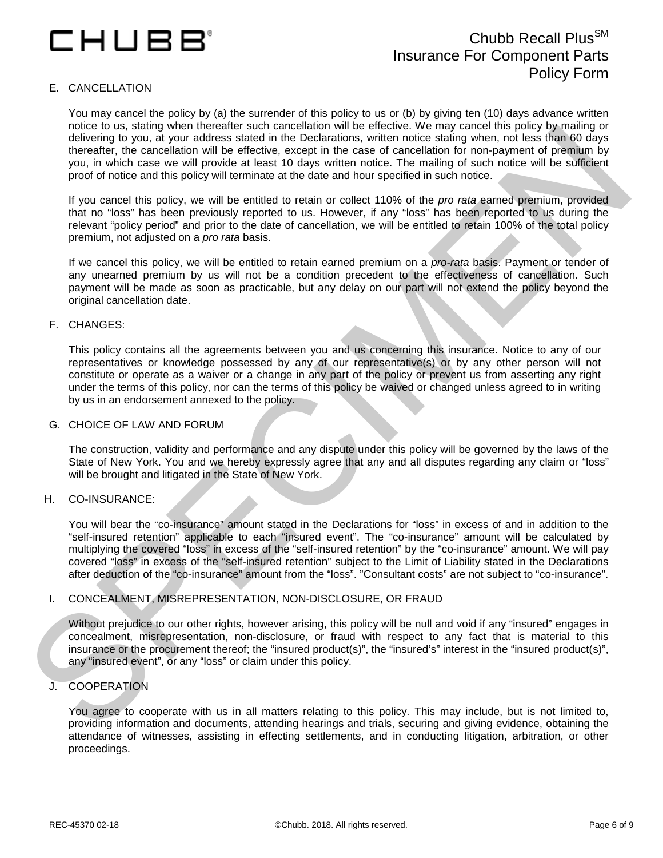## CHUBB°

### Chubb Recall Plus<sup>SM</sup> Insurance For Component Parts Policy Form

#### E. CANCELLATION

You may cancel the policy by (a) the surrender of this policy to us or (b) by giving ten (10) days advance written notice to us, stating when thereafter such cancellation will be effective. We may cancel this policy by mailing or delivering to you, at your address stated in the Declarations, written notice stating when, not less than 60 days thereafter, the cancellation will be effective, except in the case of cancellation for non-payment of premium by you, in which case we will provide at least 10 days written notice. The mailing of such notice will be sufficient proof of notice and this policy will terminate at the date and hour specified in such notice.

If you cancel this policy, we will be entitled to retain or collect 110% of the *pro rata* earned premium, provided that no "loss" has been previously reported to us. However, if any "loss" has been reported to us during the relevant "policy period" and prior to the date of cancellation, we will be entitled to retain 100% of the total policy premium, not adjusted on a *pro rata* basis.

If we cancel this policy, we will be entitled to retain earned premium on a *pro-rata* basis. Payment or tender of any unearned premium by us will not be a condition precedent to the effectiveness of cancellation. Such payment will be made as soon as practicable, but any delay on our part will not extend the policy beyond the original cancellation date.

#### F. CHANGES:

This policy contains all the agreements between you and us concerning this insurance. Notice to any of our representatives or knowledge possessed by any of our representative(s) or by any other person will not constitute or operate as a waiver or a change in any part of the policy or prevent us from asserting any right under the terms of this policy, nor can the terms of this policy be waived or changed unless agreed to in writing by us in an endorsement annexed to the policy.

#### G. CHOICE OF LAW AND FORUM

The construction, validity and performance and any dispute under this policy will be governed by the laws of the State of New York. You and we hereby expressly agree that any and all disputes regarding any claim or "loss" will be brought and litigated in the State of New York.

#### H. CO-INSURANCE:

these to as caling wire interesting that the there is a capital particle in the specific to the specific term is a capital particle to the specific term is a capital particle to the specific term is a capital particle to t You will bear the "co-insurance" amount stated in the Declarations for "loss" in excess of and in addition to the "self-insured retention" applicable to each "insured event". The "co-insurance" amount will be calculated by multiplying the covered "loss" in excess of the "self-insured retention" by the "co-insurance" amount. We will pay covered "loss" in excess of the "self-insured retention" subject to the Limit of Liability stated in the Declarations after deduction of the "co-insurance" amount from the "loss". "Consultant costs" are not subject to "co-insurance".

#### I. CONCEALMENT, MISREPRESENTATION, NON-DISCLOSURE, OR FRAUD

Without prejudice to our other rights, however arising, this policy will be null and void if any "insured" engages in concealment, misrepresentation, non-disclosure, or fraud with respect to any fact that is material to this insurance or the procurement thereof; the "insured product(s)", the "insured's" interest in the "insured product(s)", any "insured event", or any "loss" or claim under this policy.

#### J. COOPERATION

You agree to cooperate with us in all matters relating to this policy. This may include, but is not limited to, providing information and documents, attending hearings and trials, securing and giving evidence, obtaining the attendance of witnesses, assisting in effecting settlements, and in conducting litigation, arbitration, or other proceedings.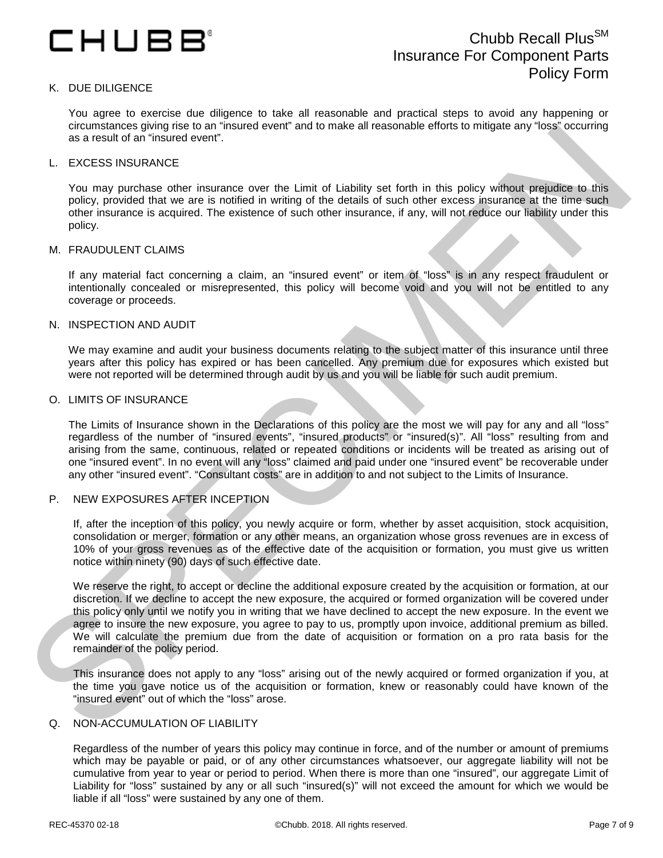

#### K. DUE DILIGENCE

You agree to exercise due diligence to take all reasonable and practical steps to avoid any happening or circumstances giving rise to an "insured event" and to make all reasonable efforts to mitigate any "loss" occurring as a result of an "insured event".

#### L. EXCESS INSURANCE

You may purchase other insurance over the Limit of Liability set forth in this policy without prejudice to this policy, provided that we are is notified in writing of the details of such other excess insurance at the time such other insurance is acquired. The existence of such other insurance, if any, will not reduce our liability under this policy.

#### M. FRAUDULENT CLAIMS

If any material fact concerning a claim, an "insured event" or item of "loss" is in any respect fraudulent or intentionally concealed or misrepresented, this policy will become void and you will not be entitled to any coverage or proceeds.

#### N. INSPECTION AND AUDIT

We may examine and audit your business documents relating to the subject matter of this insurance until three years after this policy has expired or has been cancelled. Any premium due for exposures which existed but were not reported will be determined through audit by us and you will be liable for such audit premium.

#### O. LIMITS OF INSURANCE

The Limits of Insurance shown in the Declarations of this policy are the most we will pay for any and all "loss" regardless of the number of "insured events", "insured products" or "insured(s)". All "loss" resulting from and arising from the same, continuous, related or repeated conditions or incidents will be treated as arising out of one "insured event". In no event will any "loss" claimed and paid under one "insured event" be recoverable under any other "insured event". "Consultant costs" are in addition to and not subject to the Limits of Insurance.

#### P. NEW EXPOSURES AFTER INCEPTION

If, after the inception of this policy, you newly acquire or form, whether by asset acquisition, stock acquisition, consolidation or merger, formation or any other means, an organization whose gross revenues are in excess of 10% of your gross revenues as of the effective date of the acquisition or formation, you must give us written notice within ninety (90) days of such effective date.

the three technique to the matter of the first of the based of the technique end in the second of the technique end in the second of the technique end in the second of the technique end in the second of the second of the s We reserve the right, to accept or decline the additional exposure created by the acquisition or formation, at our discretion. If we decline to accept the new exposure, the acquired or formed organization will be covered under this policy only until we notify you in writing that we have declined to accept the new exposure. In the event we agree to insure the new exposure, you agree to pay to us, promptly upon invoice, additional premium as billed. We will calculate the premium due from the date of acquisition or formation on a pro rata basis for the remainder of the policy period.

This insurance does not apply to any "loss" arising out of the newly acquired or formed organization if you, at the time you gave notice us of the acquisition or formation, knew or reasonably could have known of the "insured event" out of which the "loss" arose.

#### Q. NON-ACCUMULATION OF LIABILITY

Regardless of the number of years this policy may continue in force, and of the number or amount of premiums which may be payable or paid, or of any other circumstances whatsoever, our aggregate liability will not be cumulative from year to year or period to period. When there is more than one "insured", our aggregate Limit of Liability for "loss" sustained by any or all such "insured(s)" will not exceed the amount for which we would be liable if all "loss" were sustained by any one of them.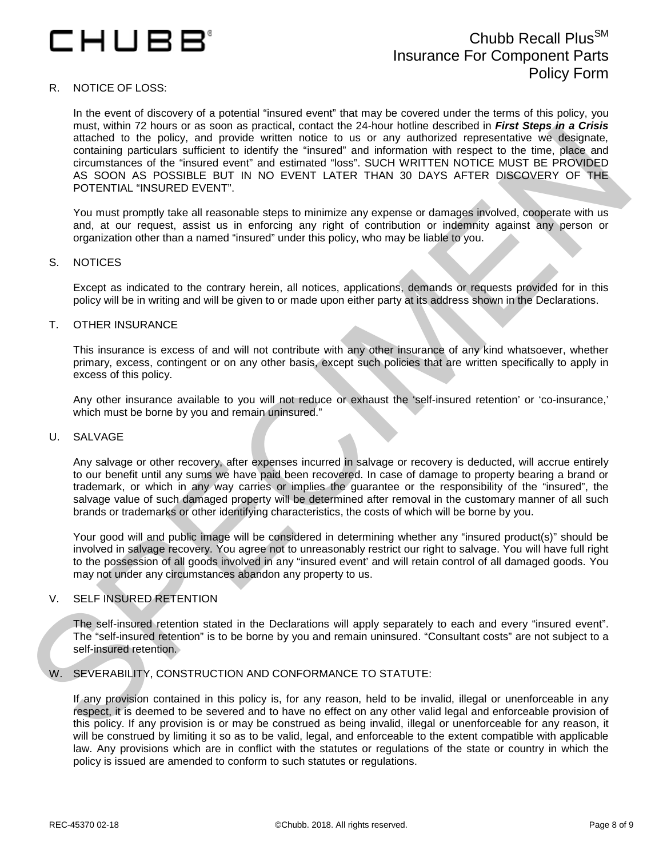## CHUBB'

### Chubb Recall Plus<sup>SM</sup> Insurance For Component Parts Policy Form

#### R. NOTICE OF LOSS:

man, when it is noted to a statement of the man is secure that the security contribute of the man is the security of the man is secured to the man is the security of the man is security to the man is the security of the ma In the event of discovery of a potential "insured event" that may be covered under the terms of this policy, you must, within 72 hours or as soon as practical, contact the 24-hour hotline described in *First Steps in a Crisis* attached to the policy, and provide written notice to us or any authorized representative we designate, containing particulars sufficient to identify the "insured" and information with respect to the time, place and circumstances of the "insured event" and estimated "loss". SUCH WRITTEN NOTICE MUST BE PROVIDED AS SOON AS POSSIBLE BUT IN NO EVENT LATER THAN 30 DAYS AFTER DISCOVERY OF THE POTENTIAL "INSURED EVENT".

You must promptly take all reasonable steps to minimize any expense or damages involved, cooperate with us and, at our request, assist us in enforcing any right of contribution or indemnity against any person or organization other than a named "insured" under this policy, who may be liable to you.

#### S. NOTICES

Except as indicated to the contrary herein, all notices, applications, demands or requests provided for in this policy will be in writing and will be given to or made upon either party at its address shown in the Declarations.

#### T. OTHER INSURANCE

This insurance is excess of and will not contribute with any other insurance of any kind whatsoever, whether primary, excess, contingent or on any other basis, except such policies that are written specifically to apply in excess of this policy.

Any other insurance available to you will not reduce or exhaust the 'self-insured retention' or 'co-insurance,' which must be borne by you and remain uninsured."

#### U. SALVAGE

Any salvage or other recovery, after expenses incurred in salvage or recovery is deducted, will accrue entirely to our benefit until any sums we have paid been recovered. In case of damage to property bearing a brand or trademark, or which in any way carries or implies the guarantee or the responsibility of the "insured", the salvage value of such damaged property will be determined after removal in the customary manner of all such brands or trademarks or other identifying characteristics, the costs of which will be borne by you.

Your good will and public image will be considered in determining whether any "insured product(s)" should be involved in salvage recovery. You agree not to unreasonably restrict our right to salvage. You will have full right to the possession of all goods involved in any "insured event' and will retain control of all damaged goods. You may not under any circumstances abandon any property to us.

#### V. SELF INSURED RETENTION

The self-insured retention stated in the Declarations will apply separately to each and every "insured event". The "self-insured retention" is to be borne by you and remain uninsured. "Consultant costs" are not subject to a self-insured retention.

#### W. SEVERABILITY, CONSTRUCTION AND CONFORMANCE TO STATUTE:

If any provision contained in this policy is, for any reason, held to be invalid, illegal or unenforceable in any respect, it is deemed to be severed and to have no effect on any other valid legal and enforceable provision of this policy. If any provision is or may be construed as being invalid, illegal or unenforceable for any reason, it will be construed by limiting it so as to be valid, legal, and enforceable to the extent compatible with applicable law. Any provisions which are in conflict with the statutes or regulations of the state or country in which the policy is issued are amended to conform to such statutes or regulations.